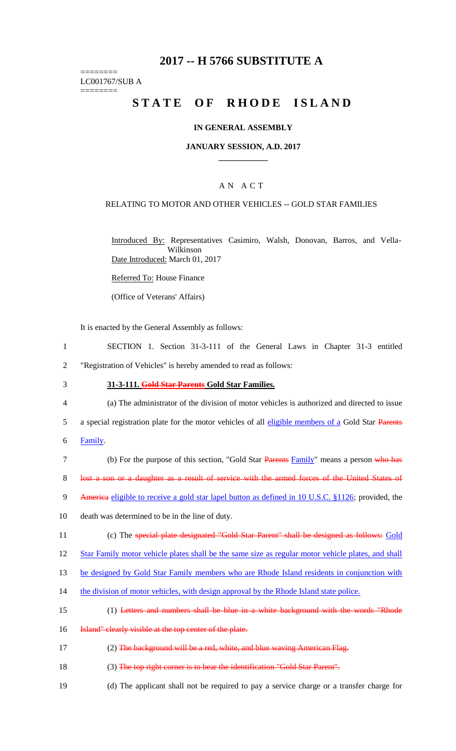# **2017 -- H 5766 SUBSTITUTE A**

======== LC001767/SUB A

========

# STATE OF RHODE ISLAND

#### **IN GENERAL ASSEMBLY**

#### **JANUARY SESSION, A.D. 2017 \_\_\_\_\_\_\_\_\_\_\_\_**

### A N A C T

#### RELATING TO MOTOR AND OTHER VEHICLES -- GOLD STAR FAMILIES

Introduced By: Representatives Casimiro, Walsh, Donovan, Barros, and Vella-Wilkinson Date Introduced: March 01, 2017

Referred To: House Finance

(Office of Veterans' Affairs)

It is enacted by the General Assembly as follows:

- 1 SECTION 1. Section 31-3-111 of the General Laws in Chapter 31-3 entitled 2 "Registration of Vehicles" is hereby amended to read as follows:
- 3 **31-3-111. Gold Star Parents Gold Star Families.**
- 4 (a) The administrator of the division of motor vehicles is authorized and directed to issue
- 5 a special registration plate for the motor vehicles of all eligible members of a Gold Star Parents
- 6 Family.
- 7 (b) For the purpose of this section, "Gold Star Parents Family" means a person who has 8 lost a son or a daughter as a result of service with the armed forces of the United States of
- 9 America eligible to receive a gold star lapel button as defined in 10 U.S.C. §1126; provided, the
- 10 death was determined to be in the line of duty.
- 11 (c) The special plate designated "Gold Star Parent" shall be designed as follows: Gold
- 12 Star Family motor vehicle plates shall be the same size as regular motor vehicle plates, and shall

13 be designed by Gold Star Family members who are Rhode Island residents in conjunction with

- 14 the division of motor vehicles, with design approval by the Rhode Island state police.
- 15 (1) Letters and numbers shall be blue in a white background with the words "Rhode
- 16 **Island"** clearly visible at the top center of the plate.
- 17 (2) The background will be a red, white, and blue waving American Flag.
- 18 (3) The top right corner is to bear the identification "Gold Star Parent".
- 19 (d) The applicant shall not be required to pay a service charge or a transfer charge for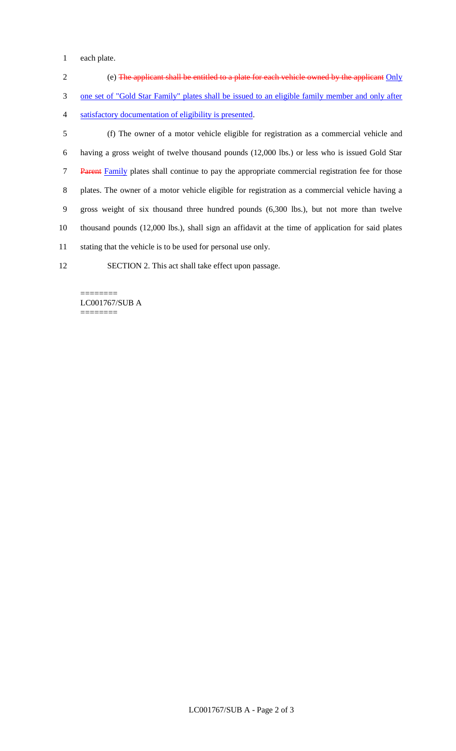each plate.

 (e) The applicant shall be entitled to a plate for each vehicle owned by the applicant Only one set of "Gold Star Family" plates shall be issued to an eligible family member and only after satisfactory documentation of eligibility is presented.

 (f) The owner of a motor vehicle eligible for registration as a commercial vehicle and having a gross weight of twelve thousand pounds (12,000 lbs.) or less who is issued Gold Star 7 Parent Family plates shall continue to pay the appropriate commercial registration fee for those plates. The owner of a motor vehicle eligible for registration as a commercial vehicle having a gross weight of six thousand three hundred pounds (6,300 lbs.), but not more than twelve thousand pounds (12,000 lbs.), shall sign an affidavit at the time of application for said plates stating that the vehicle is to be used for personal use only.

SECTION 2. This act shall take effect upon passage.

======== LC001767/SUB A ========